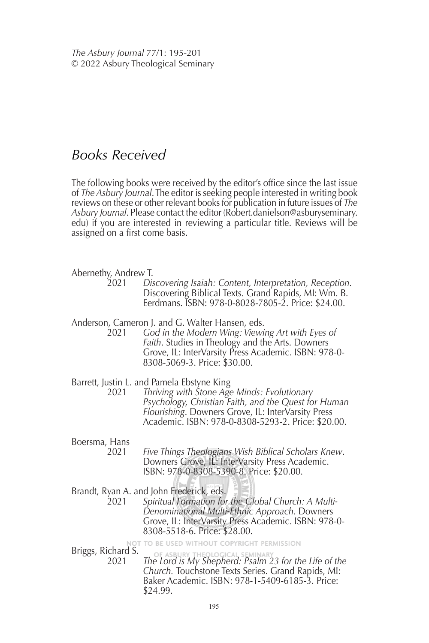### *Books Received*

The following books were received by the editor's office since the last issue of *The Asbury Journal*. The editor is seeking people interested in writing book reviews on these or other relevant books for publication in future issues of *The*  Asbury Journal. Please contact the editor (Robert.danielson@asburyseminary. edu) if you are interested in reviewing a particular title. Reviews will be assigned on a first come basis.

# Abernethy, Andrew T.<br>2021 Dis

- Discovering Isaiah: Content, Interpretation, Reception. Discovering Biblical Texts*.* Grand Rapids, MI: Wm. B. Eerdmans. ISBN: 978-0-8028-7805-2. Price: \$24.00.
- Anderson, Cameron J. and G. Walter Hansen, eds.
	- 2021 *God in the Modern Wing: Viewing Art with Eyes of*  Faith. Studies in Theology and the Arts. Downers Grove, IL: InterVarsity Press Academic. ISBN: 978-0- 8308-5069-3. Price: \$30.00.

### Barrett, Justin L. and Pamela Ebstyne King

 2021 *Thriving with Stone Age Minds: Evolutionary Psychology, Christian Faith, and the Quest for Human Flourishing*. Downers Grove, IL: InterVarsity Press Academic. ISBN: 978-0-8308-5293-2. Price: \$20.00.

# Boersma, Hans

Five Things Theologians Wish Biblical Scholars Knew. Downers Grove, IL: InterVarsity Press Academic. ISBN: 978-0-8308-5390-8. Price: \$20.00.

# Brandt, Ryan A. and John Frederick, eds.<br>2021 Spiritual Formation for

Spiritual Formation for the Global Church: A Multi- *Denominational Multi-Ethnic Approach*. Downers Grove, IL: InterVarsity Press Academic. ISBN: 978-0- 8308-5518-6. Price: \$28.00.

#### NOT TO BE USED WITHOUT COPYRIGHT PERMISSION Briggs, Richard S.

2021 *The Lord is My Shepherd: Psalm 23 for the Life of the Church.* Touchstone Texts Series. Grand Rapids, MI: Baker Academic. ISBN: 978-1-5409-6185-3. Price: \$24.99.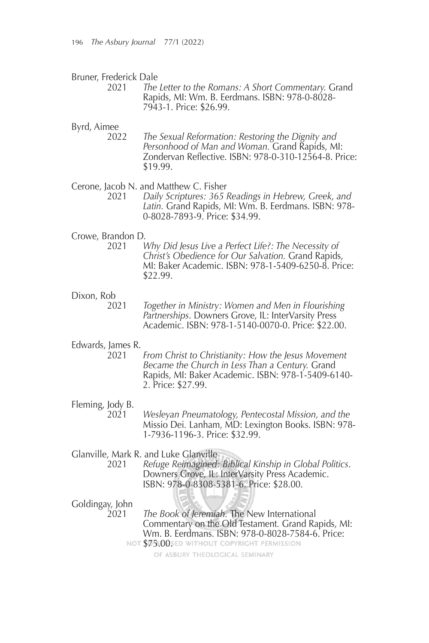Bruner, Frederick Dale

2021 *The Letter to the Romans: A Short Commentary.* Grand Rapids, MI: Wm. B. Eerdmans. ISBN: 978-0-8028- 7943-1. Price: \$26.99.

### Byrd, Aimee

 2022 *The Sexual Reformation: Restoring the Dignity and Personhood of Man and Woman.* Grand Rapids, MI: Zondervan Reflective. ISBN: 978-0-310-12564-8. Price: \$19.99.

Cerone, Jacob N. and Matthew C. Fisher

2021 *Daily Scriptures: 365 Readings in Hebrew, Greek, and Latin.* Grand Rapids, MI: Wm. B. Eerdmans. ISBN: 978- 0-8028-7893-9. Price: \$34.99.

### Crowe, Brandon D.

2021 *Why Did Jesus Live a Perfect Life?: The Necessity of Christ's Obedience for Our Salvation.* Grand Rapids, MI: Baker Academic. ISBN: 978-1-5409-6250-8. Price: \$22.99.

## Dixon, Rob<br>2021

*Together in Ministry: Women and Men in Flourishing Partnerships*. Downers Grove, IL: InterVarsity Press *Academic. ISBN: 978-1-5140-0070-0. Price:* \$22.00.

### Edwards, James R.

- 2021 *From Christ to Christianity: How the Jesus Movement Became the Church in Less Than a Century.* Grand Rapids, MI: Baker Academic. ISBN: 978-1-5409-6140- 2. Price: \$27.99.
- Fleming, Jody B.
	- 2021 *Wesleyan Pneumatology, Pentecostal Mission, and the*  Missio Dei*.* Lanham, MD: Lexington Books. ISBN: 978- 1-7936-1196-3. Price: \$32.99.
- Glanville, Mark R. and Luke Glanville 2021 *Refuge Reimagined: Biblical Kinship in Global Politics*.Downers Grove, IL: InterVarsity Press Academic. ISBN: 978-0-8308-5381-6. Price: \$28.00.

### Goldingay, John

2021 *The Book of Jeremiah.* The New International Commentary on the Old Testament*.* Grand Rapids, MI: Wm. B. Eerdmans. ISBN: 978-0-8028-7584-6. Price: NOT \$75.00 SED WITHOUT COPYRIGHT PERMISSION

OF ASBURY THEOLOGICAL SEMINARY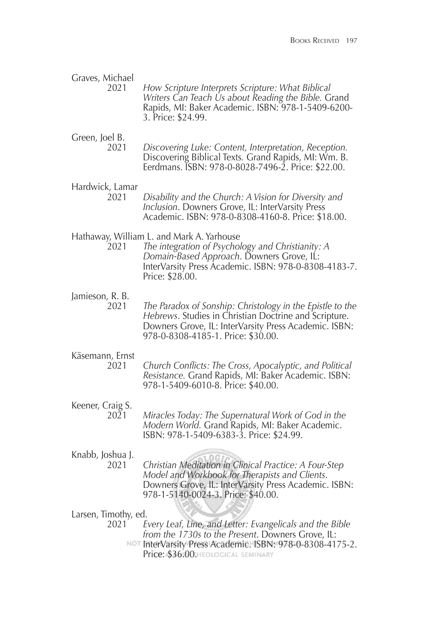| Graves, Michael<br>2021      | How Scripture Interprets Scripture: What Biblical<br>Writers Can Teach Us about Reading the Bible. Grand<br>Rapids, MI: Baker Academic. ISBN: 978-1-5409-6200-<br>3. Price: \$24.99.                                    |
|------------------------------|-------------------------------------------------------------------------------------------------------------------------------------------------------------------------------------------------------------------------|
| Green, Joel B.<br>2021       | Discovering Luke: Content, Interpretation, Reception.<br>Discovering Biblical Texts. Grand Rapids, MI: Wm. B.<br>Eerdmans. ISBN: 978-0-8028-7496-2. Price: \$22.00.                                                     |
| Hardwick, Lamar<br>2021      | Disability and the Church: A Vision for Diversity and<br>Inclusion. Downers Grove, IL: InterVarsity Press<br>Academic. ISBN: 978-0-8308-4160-8. Price: \$18.00.                                                         |
| 2021                         | Hathaway, William L. and Mark A. Yarhouse<br>The integration of Psychology and Christianity: A<br>Domain-Based Approach. Downers Grove, IL:<br>InterVarsity Press Academic. ISBN: 978-0-8308-4183-7.<br>Price: \$28.00. |
| Jamieson, R. B.<br>2021      | The Paradox of Sonship: Christology in the Epistle to the<br>Hebrews. Studies in Christian Doctrine and Scripture.<br>Downers Grove, IL: InterVarsity Press Academic. ISBN:<br>978-0-8308-4185-1. Price: \$30.00.       |
| Käsemann, Ernst<br>2021      | Church Conflicts: The Cross, Apocalyptic, and Political<br>Resistance. Grand Rapids, MI: Baker Academic. ISBN:<br>978-1-5409-6010-8. Price: \$40.00.                                                                    |
| Keener, Craig S.<br>2021     | Miracles Today: The Supernatural Work of God in the<br>Modern World. Grand Rapids, MI: Baker Academic.<br>ISBN: 978-1-5409-6383-3. Price: \$24.99.                                                                      |
| Knabb, Joshua J.<br>2021     | Christian Meditation in Clinical Practice: A Four-Step<br>Model and Workbook for Therapists and Clients.<br>Downers Grove, IL: InterVarsity Press Academic. ISBN:<br>978-1-5140-0024-3. Price: \$40.00.                 |
| Larsen, Timothy, ed.<br>2021 | Every Leaf, Line, and Letter: Evangelicals and the Bible<br>from the 1730s to the Present. Downers Grove, IL:<br>NOT InterVarsity Press Academic. ISBN: 978-0-8308-4175-2.<br>Price: 436:00:HEOLOGICAL SEMINARY         |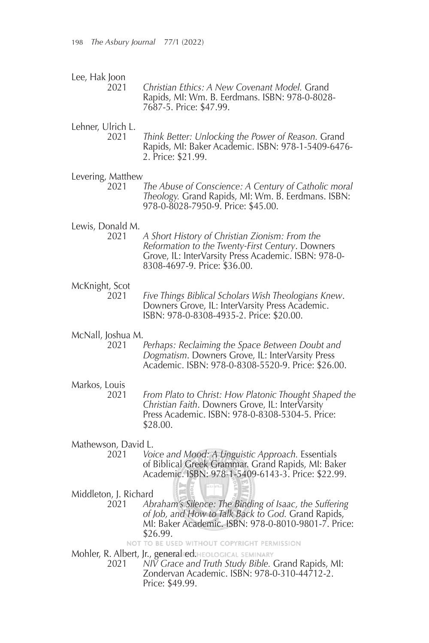Lee, Hak Joon

2021 *Christian Ethics: A New Covenant Model.* Grand Rapids, MI: Wm. B. Eerdmans. ISBN: 978-0-8028- 7687-5. Price: \$47.99.

### Lehner, Ulrich L.

2021 *Think Better: Unlocking the Power of Reason.* Grand Rapids, MI: Baker Academic. ISBN: 978-1-5409-6476- 2. Price: \$21.99.

### Levering, Matthew

2021 *The Abuse of Conscience: A Century of Catholic moral Theology.* Grand Rapids, MI: Wm. B. Eerdmans. ISBN: 978-0-8028-7950-9. Price: \$45.00.

### Lewis, Donald M.

 2021 *A Short History of Christian Zionism: From the Reformation to the Twenty-First Century*. Downers Grove, IL: InterVarsity Press Academic. ISBN: 978-0- 8308-4697-9. Price: \$36.00.

### McKnight, Scot

 2021 *Five Things Biblical Scholars Wish Theologians Knew*. Downers Grove, IL: InterVarsity Press Academic. ISBN: 978-0-8308-4935-2. Price: \$20.00.

## McNall, Joshua M.

<sup>2021</sup>*Perhaps: Reclaiming the Space Between Doubt and Dogmatism*. Downers Grove, IL: InterVarsity Press Academic. ISBN: 978-0-8308-5520-9. Price: \$26.00.

### Markos, Louis<br>2021

<sup>2021</sup>*From Plato to Christ: How Platonic Thought Shaped the Christian Faith*. Downers Grove, IL: InterVarsity Press Academic. ISBN: 978-0-8308-5304-5. Price: \$28.00.

### Mathewson, David L.

2021 *Voice and Mood: A Linguistic Approach.* Essentials of Biblical Greek Grammar. Grand Rapids, MI: Baker<br>Academic. ISBN: 978-1-5409-6143-3. Price: \$22.99.

#### Middleton, J. Richard

2021 *Abraham's Silence: The Binding of Isaac, the Suffering MI: Baker Academic. ISBN: 978-0-8010-9801-7. Price:* \$26.99.<br>NOT TO BE USED WITHOUT COPYRIGHT PERMISSION

- Mohler, R. Albert, Jr., general red. HEOLOGICAL SEMINARY
	- 2021 *NIV Grace and Truth Study Bible.* Grand Rapids, MI: Zondervan Academic. ISBN: 978-0-310-44712-2. Price: \$49.99.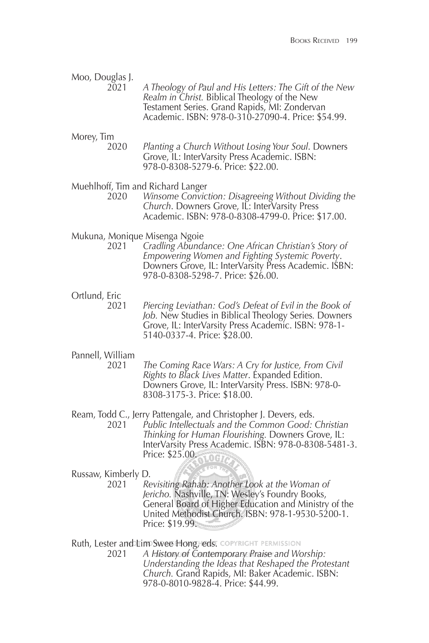| Moo, Douglas J.<br>2021               | A Theology of Paul and His Letters: The Gift of the New<br>Realm in Christ. Biblical Theology of the New<br>Testament Series. Grand Rapids, MI: Zondervan<br>Academic. ISBN: 978-0-310-27090-4. Price: \$54.99.                                           |  |
|---------------------------------------|-----------------------------------------------------------------------------------------------------------------------------------------------------------------------------------------------------------------------------------------------------------|--|
| Morey, Tim<br>2020                    | Planting a Church Without Losing Your Soul. Downers<br>Grove, IL: InterVarsity Press Academic. ISBN:<br>978-0-8308-5279-6. Price: \$22.00.                                                                                                                |  |
|                                       | Muehlhoff, Tim and Richard Langer<br>2020 Winsome Conviction: Disagreeing Without Dividing the<br>Church. Downers Grove, IL: InterVarsity Press<br>Academic. ISBN: 978-0-8308-4799-0. Price: \$17.00.                                                     |  |
| Mukuna, Monique Misenga Ngoie<br>2021 | Cradling Abundance: One African Christian's Story of<br>Empowering Women and Fighting Systemic Poverty.<br>Downers Grove, IL: InterVarsity Press Academic. ISBN:<br>978-0-8308-5298-7. Price: \$26.00.                                                    |  |
| Ortlund, Eric<br>2021                 | Piercing Leviathan: God's Defeat of Evil in the Book of<br>Job. New Studies in Biblical Theology Series. Downers<br>Grove, IL: InterVarsity Press Academic. ISBN: 978-1-<br>5140-0337-4. Price: \$28.00.                                                  |  |
| Pannell, William<br>2021              | The Coming Race Wars: A Cry for Justice, From Civil<br>Rights to Black Lives Matter. Expanded Edition.<br>Downers Grove, IL: InterVarsity Press. ISBN: 978-0-<br>8308-3175-3. Price: \$18.00.                                                             |  |
| 2021                                  | Ream, Todd C., Jerry Pattengale, and Christopher J. Devers, eds.<br>Public Intellectuals and the Common Good: Christian<br>Thinking for Human Flourishing. Downers Grove, IL:<br>InterVarsity Press Academic. ISBN: 978-0-8308-5481-3.<br>Price: \$25.00. |  |
| Russaw, Kimberly D.                   |                                                                                                                                                                                                                                                           |  |

2021 *Revisiting Rahab: Another Look at the Woman of Jericho.* Nashville, TN: Wesley's Foundry Books, General Board of Higher Education and Ministry of the United Methodist Church. ISBN: 978-1-9530-5200-1. Price: \$19.99.

Ruth, Lester and Lim Swee Hong, eds. COPYRIGHT PERMISSION<br>2021 A History of Contemporary Praise and Wo

2021 *A History of Contemporary Praise and Worship: Understanding the Ideas that Reshaped the Protestant Church.* Grand Rapids, MI: Baker Academic. ISBN: 978-0-8010-9828-4. Price: \$44.99.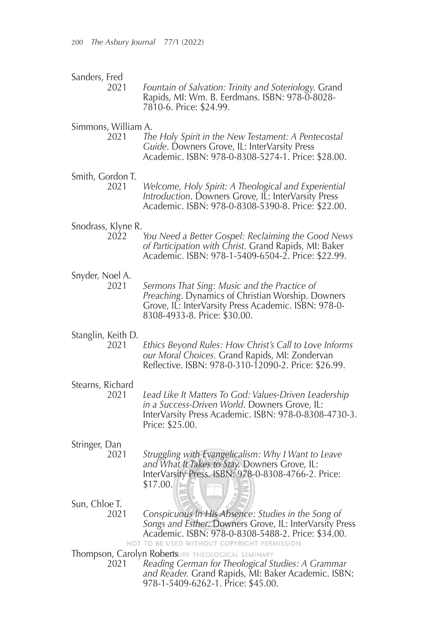| Sanders, Fred |  |
|---------------|--|
|---------------|--|

2021 *Fountain of Salvation: Trinity and Soteriology.* Grand Rapids, MI: Wm. B. Eerdmans. ISBN: 978-0-8028- 7810-6. Price: \$24.99.

### Simmons, William A.

 2021 *The Holy Spirit in the New Testament: A Pentecostal Guide*. Downers Grove, IL: InterVarsity Press Academic. ISBN: 978-0-8308-5274-1. Price: \$28.00.

### Smith, Gordon T.

 2021 *Welcome, Holy Spirit: A Theological and Experiential Introduction*. Downers Grove, IL: InterVarsity Press Academic. ISBN: 978-0-8308-5390-8. Price: \$22.00.

### Snodrass, Klyne R.

2022 *You Need a Better Gospel: Reclaiming the Good News of Participation with Christ.* Grand Rapids, MI: Baker Academic. ISBN: 978-1-5409-6504-2. Price: \$22.99.

### Snyder, Noel A.

**Sermons That Sing: Music and the Practice of**  *Preaching*. Dynamics of Christian Worship. Downers Grove, IL: InterVarsity Press Academic. ISBN: 978-0- 8308-4933-8. Price: \$30.00.

### Stanglin, Keith D.

<sup>2021</sup>*Ethics Beyond Rules: How Christ's Call to Love Informs our Moral Choices.* Grand Rapids, MI: Zondervan Reflective. ISBN: 978-0-310-12090-2. Price: \$26.99.

### Stearns, Richard<br>2021

<sup>2021</sup>*Lead Like It Matters To God: Values-Driven Leadership in a Success-Driven World*. Downers Grove, IL: InterVarsity Press Academic. ISBN: 978-0-8308-4730-3. Price: \$25.00.

### Stringer, Dan

<sup>2021</sup>*Struggling with Evangelicalism: Why I Want to Leave and What It Takes to Stay.* Downers Grove, IL: InterVarsity Press. ISBN: 978-0-8308-4766-2. Price: \$17.00.

### Sun, Chloe T.

<sup>2021</sup>*Conspicuous In His Absence: Studies in the Song of Songs and Esther*. Downers Grove, IL: InterVarsity Press Academic. ISBN: 978-0-8308-5488-2. Price: \$34.00.

#### Thompson, Carolyn Roberts JRY THEOLOGICAL SEMINARY

2021 *Reading German for Theological Studies: A Grammar and Reader.* Grand Rapids, MI: Baker Academic. ISBN: 978-1-5409-6262-1. Price: \$45.00.